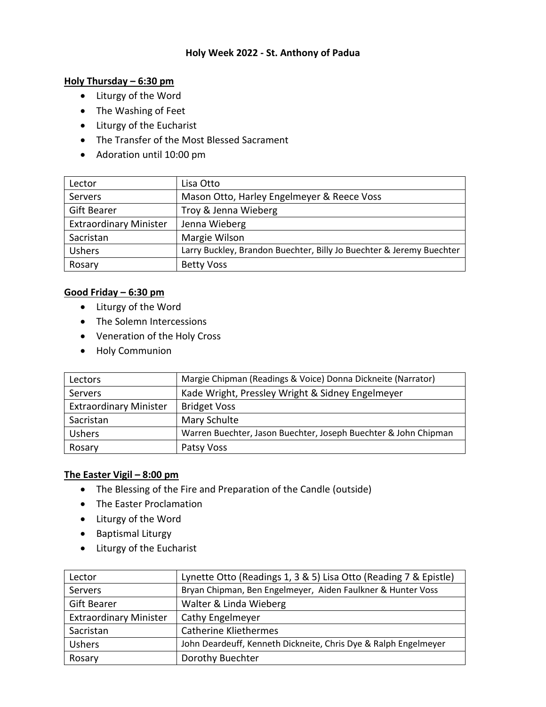## **Holy Week 2022 - St. Anthony of Padua**

## **Holy Thursday – 6:30 pm**

- Liturgy of the Word
- The Washing of Feet
- Liturgy of the Eucharist
- The Transfer of the Most Blessed Sacrament
- Adoration until 10:00 pm

| Lector                        | Lisa Otto                                                            |
|-------------------------------|----------------------------------------------------------------------|
| Servers                       | Mason Otto, Harley Engelmeyer & Reece Voss                           |
| <b>Gift Bearer</b>            | Troy & Jenna Wieberg                                                 |
| <b>Extraordinary Minister</b> | Jenna Wieberg                                                        |
| Sacristan                     | Margie Wilson                                                        |
| <b>Ushers</b>                 | Larry Buckley, Brandon Buechter, Billy Jo Buechter & Jeremy Buechter |
| Rosary                        | <b>Betty Voss</b>                                                    |

# **Good Friday – 6:30 pm**

- Liturgy of the Word
- The Solemn Intercessions
- Veneration of the Holy Cross
- Holy Communion

| Lectors                       | Margie Chipman (Readings & Voice) Donna Dickneite (Narrator)    |
|-------------------------------|-----------------------------------------------------------------|
| Servers                       | Kade Wright, Pressley Wright & Sidney Engelmeyer                |
| <b>Extraordinary Minister</b> | <b>Bridget Voss</b>                                             |
| Sacristan                     | Mary Schulte                                                    |
| <b>Ushers</b>                 | Warren Buechter, Jason Buechter, Joseph Buechter & John Chipman |
| Rosary                        | Patsy Voss                                                      |

# **The Easter Vigil – 8:00 pm**

- The Blessing of the Fire and Preparation of the Candle (outside)
- The Easter Proclamation
- Liturgy of the Word
- Baptismal Liturgy
- Liturgy of the Eucharist

| Lector                        | Lynette Otto (Readings 1, 3 & 5) Lisa Otto (Reading 7 & Epistle) |
|-------------------------------|------------------------------------------------------------------|
| Servers                       | Bryan Chipman, Ben Engelmeyer, Aiden Faulkner & Hunter Voss      |
| <b>Gift Bearer</b>            | Walter & Linda Wieberg                                           |
| <b>Extraordinary Minister</b> | Cathy Engelmeyer                                                 |
| Sacristan                     | <b>Catherine Kliethermes</b>                                     |
| <b>Ushers</b>                 | John Deardeuff, Kenneth Dickneite, Chris Dye & Ralph Engelmeyer  |
| Rosary                        | Dorothy Buechter                                                 |